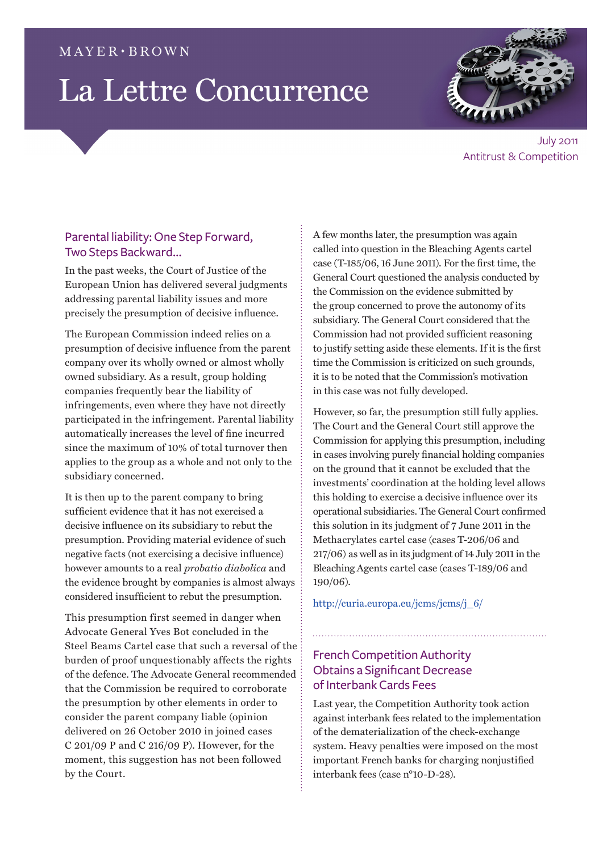## $MAYER \cdot BROWN$

# La Lettre Concurrence



July 2011 Antitrust & Competition

# Parental liability: One Step Forward, Two Steps Backward…

In the past weeks, the Court of Justice of the European Union has delivered several judgments addressing parental liability issues and more precisely the presumption of decisive influence.

The European Commission indeed relies on a presumption of decisive influence from the parent company over its wholly owned or almost wholly owned subsidiary. As a result, group holding companies frequently bear the liability of infringements, even where they have not directly participated in the infringement. Parental liability automatically increases the level of fine incurred since the maximum of 10% of total turnover then applies to the group as a whole and not only to the subsidiary concerned.

It is then up to the parent company to bring sufficient evidence that it has not exercised a decisive influence on its subsidiary to rebut the presumption. Providing material evidence of such negative facts (not exercising a decisive influence) however amounts to a real *probatio diabolica* and the evidence brought by companies is almost always considered insufficient to rebut the presumption.

This presumption first seemed in danger when Advocate General Yves Bot concluded in the Steel Beams Cartel case that such a reversal of the burden of proof unquestionably affects the rights of the defence. The Advocate General recommended that the Commission be required to corroborate the presumption by other elements in order to consider the parent company liable (opinion delivered on 26 October 2010 in joined cases C 201/09 P and C 216/09 P). However, for the moment, this suggestion has not been followed by the Court.

A few months later, the presumption was again called into question in the Bleaching Agents cartel case (T-185/06, 16 June 2011). For the first time, the General Court questioned the analysis conducted by the Commission on the evidence submitted by the group concerned to prove the autonomy of its subsidiary. The General Court considered that the Commission had not provided sufficient reasoning to justify setting aside these elements. If it is the first time the Commission is criticized on such grounds, it is to be noted that the Commission's motivation in this case was not fully developed.

However, so far, the presumption still fully applies. The Court and the General Court still approve the Commission for applying this presumption, including in cases involving purely financial holding companies on the ground that it cannot be excluded that the investments' coordination at the holding level allows this holding to exercise a decisive influence over its operational subsidiaries. The General Court confirmed this solution in its judgment of 7 June 2011 in the Methacrylates cartel case (cases T-206/06 and 217/06) as well as in its judgment of 14 July 2011 in the Bleaching Agents cartel case (cases T-189/06 and 190/06).

[http://curia.europa.eu/jcms/jcms/j\\_6/](http://curia.europa.eu/jcms/jcms/j_6/
)

# French Competition Authority Obtains a Significant Decrease of Interbank Cards Fees

Last year, the Competition Authority took action against interbank fees related to the implementation of the dematerialization of the check-exchange system. Heavy penalties were imposed on the most important French banks for charging nonjustified interbank fees (case n°10-D-28).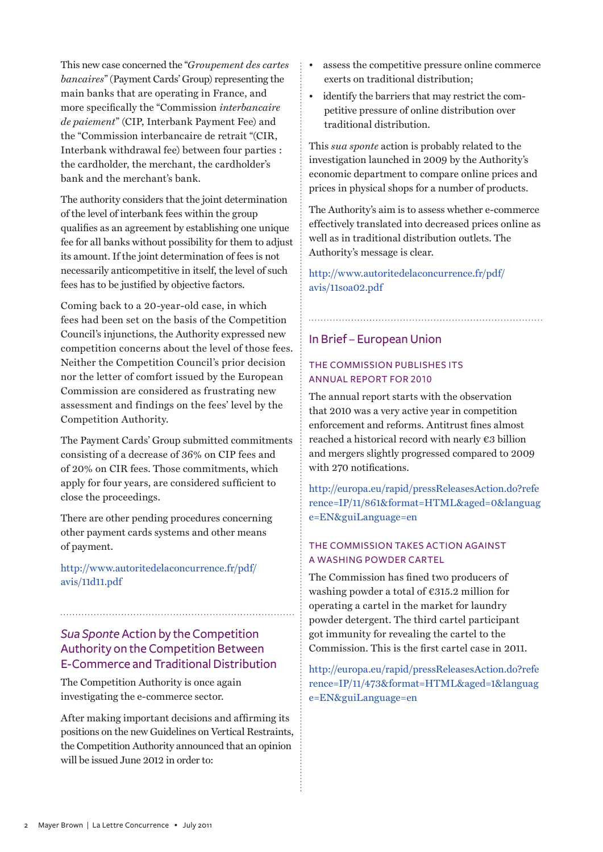This new case concerned the "*Groupement des cartes bancaires*" (Payment Cards' Group) representing the main banks that are operating in France, and more specifically the "Commission *interbancaire de paiement*" (CIP, Interbank Payment Fee) and the "Commission interbancaire de retrait "(CIR, Interbank withdrawal fee) between four parties : the cardholder, the merchant, the cardholder's bank and the merchant's bank.

The authority considers that the joint determination of the level of interbank fees within the group qualifies as an agreement by establishing one unique fee for all banks without possibility for them to adjust its amount. If the joint determination of fees is not necessarily anticompetitive in itself, the level of such fees has to be justified by objective factors.

Coming back to a 20-year-old case, in which fees had been set on the basis of the Competition Council's injunctions, the Authority expressed new competition concerns about the level of those fees. Neither the Competition Council's prior decision nor the letter of comfort issued by the European Commission are considered as frustrating new assessment and findings on the fees' level by the Competition Authority.

The Payment Cards' Group submitted commitments consisting of a decrease of 36% on CIP fees and of 20% on CIR fees. Those commitments, which apply for four years, are considered sufficient to close the proceedings.

There are other pending procedures concerning other payment cards systems and other means of payment.

[http://www.autoritedelaconcurrence.fr/pdf/](http://www.autoritedelaconcurrence.fr/pdf/avis/11d11.pdf) [avis/11d11.pd](http://www.autoritedelaconcurrence.fr/pdf/avis/11d11.pdf)f

# *Sua Sponte* Action by the Competition Authority on the Competition Between E-Commerce and Traditional Distribution

The Competition Authority is once again investigating the e-commerce sector.

After making important decisions and affirming its positions on the new Guidelines on Vertical Restraints, the Competition Authority announced that an opinion will be issued June 2012 in order to:

- assess the competitive pressure online commerce exerts on traditional distribution;
- identify the barriers that may restrict the competitive pressure of online distribution over traditional distribution.

This *sua sponte* action is probably related to the investigation launched in 2009 by the Authority's economic department to compare online prices and prices in physical shops for a number of products.

The Authority's aim is to assess whether e-commerce effectively translated into decreased prices online as well as in traditional distribution outlets. The Authority's message is clear.

[http://www.autoritedelaconcurrence.fr/pdf/](http://www.autoritedelaconcurrence.fr/pdf/avis/11soa02.pdf) [avis/11soa02.pd](http://www.autoritedelaconcurrence.fr/pdf/avis/11soa02.pdf)f

### In Brief – European Union

### The Commission publishes its annual report for 2010

The annual report starts with the observation that 2010 was a very active year in competition enforcement and reforms. Antitrust fines almost reached a historical record with nearly €3 billion and mergers slightly progressed compared to 2009 with 270 notifications.

[http://europa.eu/rapid/pressReleasesAction.do?refe](http://europa.eu/rapid/pressReleasesAction.do?reference=IP/11/861&format=HTML&aged=0&language=EN&guiLanguage=en ) [rence=IP/11/861&format=HTML&aged=0&languag](http://europa.eu/rapid/pressReleasesAction.do?reference=IP/11/861&format=HTML&aged=0&language=EN&guiLanguage=en ) [e=EN&guiLanguage=en](http://europa.eu/rapid/pressReleasesAction.do?reference=IP/11/861&format=HTML&aged=0&language=EN&guiLanguage=en )

#### The Commission takes action against a washing powder cartel

The Commission has fined two producers of washing powder a total of €315.2 million for operating a cartel in the market for laundry powder detergent. The third cartel participant got immunity for revealing the cartel to the Commission. This is the first cartel case in 2011.

[http://europa.eu/rapid/pressReleasesAction.do?refe](http://europa.eu/rapid/pressReleasesAction.do?reference=IP/11/473&format=HTML&aged=1&language=EN&guiLanguage=en) [rence=IP/11/473&format=HTML&aged=1&languag](http://europa.eu/rapid/pressReleasesAction.do?reference=IP/11/473&format=HTML&aged=1&language=EN&guiLanguage=en) [e=EN&guiLanguage=e](http://europa.eu/rapid/pressReleasesAction.do?reference=IP/11/473&format=HTML&aged=1&language=EN&guiLanguage=en)n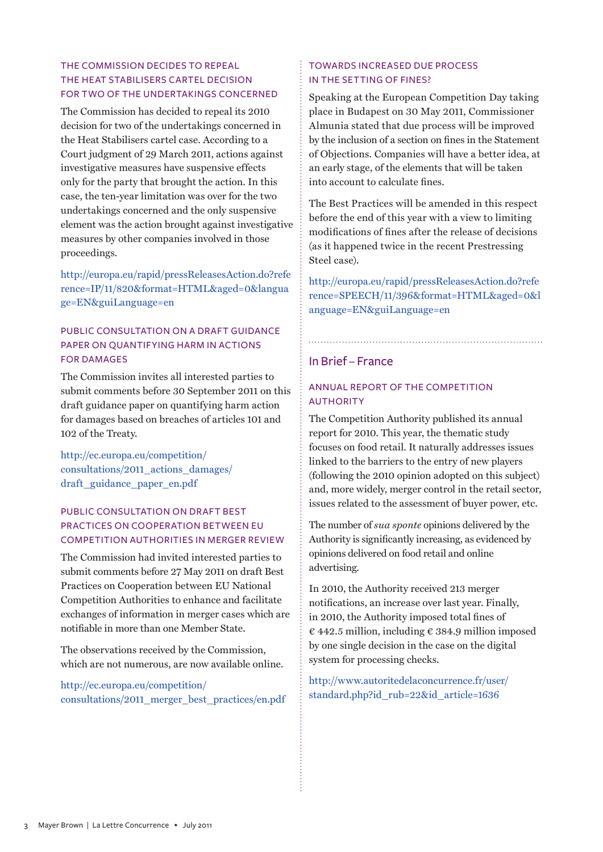## The Commission decides to repeal the Heat Stabilisers cartel decision for two of the undertakings concerned

The Commission has decided to repeal its 2010 decision for two of the undertakings concerned in the Heat Stabilisers cartel case. According to a Court judgment of 29 March 2011, actions against investigative measures have suspensive effects only for the party that brought the action. In this case, the ten-year limitation was over for the two undertakings concerned and the only suspensive element was the action brought against investigative measures by other companies involved in those proceedings.

[http://europa.eu/rapid/pressReleasesAction.do?refe](http://europa.eu/rapid/pressReleasesAction.do?reference=IP/11/820&format=HTML&aged=0&language=EN&guiLanguage=en) [rence=IP/11/820&format=HTML&aged=0&langua](http://europa.eu/rapid/pressReleasesAction.do?reference=IP/11/820&format=HTML&aged=0&language=EN&guiLanguage=en) [ge=EN&guiLanguage=e](http://europa.eu/rapid/pressReleasesAction.do?reference=IP/11/820&format=HTML&aged=0&language=EN&guiLanguage=en)n

## Public consultation on a draft guidance paper on quantifying harm in actions for damages

The Commission invites all interested parties to submit comments before 30 September 2011 on this draft guidance paper on quantifying harm action for damages based on breaches of articles 101 and 102 of the Treaty.

[http://ec.europa.eu/competition/](http://ec.europa.eu/competition/consultations/2011_actions_damages/draft_guidance_paper_en.pdf
) [consultations/2011\\_actions\\_damages/](http://ec.europa.eu/competition/consultations/2011_actions_damages/draft_guidance_paper_en.pdf
) [draft\\_guidance\\_paper\\_en.pdf](http://ec.europa.eu/competition/consultations/2011_actions_damages/draft_guidance_paper_en.pdf
)

## PUBLIC CONSULTATION ON DRAFT BEST PRACTICES ON COOPERATION BETWEEN EU Competition Authorities in merger review

The Commission had invited interested parties to submit comments before 27 May 2011 on draft Best Practices on Cooperation between EU National Competition Authorities to enhance and facilitate exchanges of information in merger cases which are notifiable in more than one Member State.

The observations received by the Commission, which are not numerous, are now available online.

[http://ec.europa.eu/competition/](http://ec.europa.eu/competition/consultations/2011_merger_best_practices/en.pdf
) [consultations/2011\\_merger\\_best\\_practices/en.pdf](http://ec.europa.eu/competition/consultations/2011_merger_best_practices/en.pdf
)

## Towards increased due process in the setting of fines?

Speaking at the European Competition Day taking place in Budapest on 30 May 2011, Commissioner Almunia stated that due process will be improved by the inclusion of a section on fines in the Statement of Objections. Companies will have a better idea, at an early stage, of the elements that will be taken into account to calculate fines.

The Best Practices will be amended in this respect before the end of this year with a view to limiting modifications of fines after the release of decisions (as it happened twice in the recent Prestressing Steel case).

[http://europa.eu/rapid/pressReleasesAction.do?refe](http://europa.eu/rapid/pressReleasesAction.do?reference=SPEECH/11/396&format=HTML&aged=0&language=EN&guiLanguage=en
) [rence=SPEECH/11/396&format=HTML&aged=0&l](http://europa.eu/rapid/pressReleasesAction.do?reference=SPEECH/11/396&format=HTML&aged=0&language=EN&guiLanguage=en
) [anguage=EN&guiLanguage=en](http://europa.eu/rapid/pressReleasesAction.do?reference=SPEECH/11/396&format=HTML&aged=0&language=EN&guiLanguage=en
)

## In Brief – France

## Annual report of the Competition **AUTHORITY**

The Competition Authority published its annual report for 2010. This year, the thematic study focuses on food retail. It naturally addresses issues linked to the barriers to the entry of new players (following the 2010 opinion adopted on this subject) and, more widely, merger control in the retail sector, issues related to the assessment of buyer power, etc.

The number of *sua sponte* opinions delivered by the Authority is significantly increasing, as evidenced by opinions delivered on food retail and online advertising.

In 2010, the Authority received 213 merger notifications, an increase over last year. Finally, in 2010, the Authority imposed total fines of  $\epsilon$  442.5 million, including  $\epsilon$  384.9 million imposed by one single decision in the case on the digital system for processing checks.

[http://www.autoritedelaconcurrence.fr/user/](http://www.autoritedelaconcurrence.fr/user/standard.php?id_rub=22&id_article=1636) [standard.php?id\\_rub=22&id\\_article=163](http://www.autoritedelaconcurrence.fr/user/standard.php?id_rub=22&id_article=1636)6